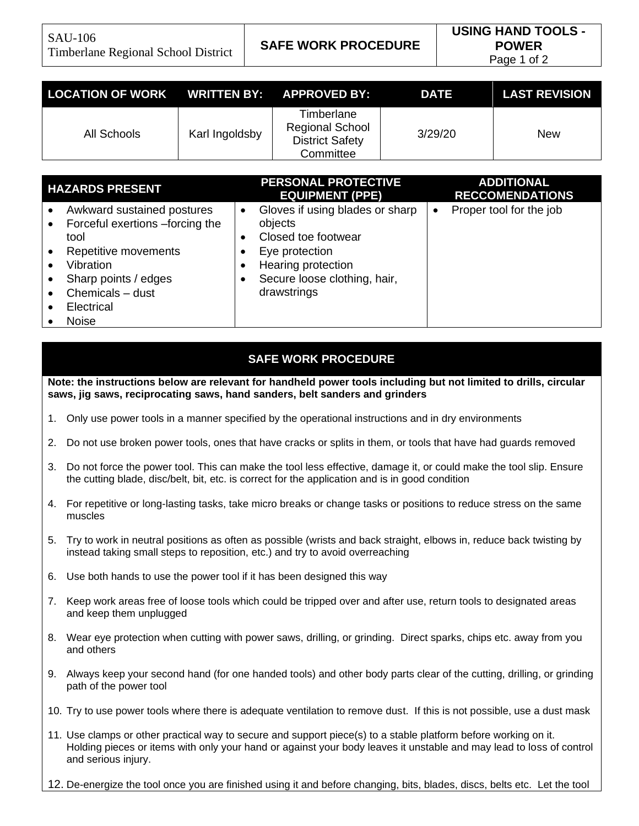| LOCATION OF WORK WRITTEN BY: APPROVED BY: |                |                                                                             | <b>DATE</b> | <b>LAST REVISION</b> |
|-------------------------------------------|----------------|-----------------------------------------------------------------------------|-------------|----------------------|
| All Schools                               | Karl Ingoldsby | Timberlane<br><b>Regional School</b><br><b>District Safety</b><br>Committee | 3/29/20     | New                  |

| <b>HAZARDS PRESENT</b>                                                                                                                                                               | <b>PERSONAL PROTECTIVE</b><br><b>EQUIPMENT (PPE)</b>                                                                                                                  | <b>ADDITIONAL</b><br><b>RECCOMENDATIONS</b> |
|--------------------------------------------------------------------------------------------------------------------------------------------------------------------------------------|-----------------------------------------------------------------------------------------------------------------------------------------------------------------------|---------------------------------------------|
| Awkward sustained postures<br>Forceful exertions -forcing the<br>tool<br>Repetitive movements<br>Vibration<br>Sharp points / edges<br>Chemicals - dust<br>Electrical<br><b>Noise</b> | Gloves if using blades or sharp<br>$\bullet$<br>objects<br>Closed toe footwear<br>Eye protection<br>Hearing protection<br>Secure loose clothing, hair,<br>drawstrings | Proper tool for the job<br>$\bullet$        |

## **SAFE WORK PROCEDURE**

**Note: the instructions below are relevant for handheld power tools including but not limited to drills, circular saws, jig saws, reciprocating saws, hand sanders, belt sanders and grinders** 

- 1. Only use power tools in a manner specified by the operational instructions and in dry environments
- 2. Do not use broken power tools, ones that have cracks or splits in them, or tools that have had guards removed
- 3. Do not force the power tool. This can make the tool less effective, damage it, or could make the tool slip. Ensure the cutting blade, disc/belt, bit, etc. is correct for the application and is in good condition
- 4. For repetitive or long-lasting tasks, take micro breaks or change tasks or positions to reduce stress on the same muscles
- 5. Try to work in neutral positions as often as possible (wrists and back straight, elbows in, reduce back twisting by instead taking small steps to reposition, etc.) and try to avoid overreaching
- 6. Use both hands to use the power tool if it has been designed this way
- 7. Keep work areas free of loose tools which could be tripped over and after use, return tools to designated areas and keep them unplugged
- 8. Wear eye protection when cutting with power saws, drilling, or grinding. Direct sparks, chips etc. away from you and others
- 9. Always keep your second hand (for one handed tools) and other body parts clear of the cutting, drilling, or grinding path of the power tool
- 10. Try to use power tools where there is adequate ventilation to remove dust. If this is not possible, use a dust mask
- 11. Use clamps or other practical way to secure and support piece(s) to a stable platform before working on it. Holding pieces or items with only your hand or against your body leaves it unstable and may lead to loss of control and serious injury.
- 12. De-energize the tool once you are finished using it and before changing, bits, blades, discs, belts etc. Let the tool